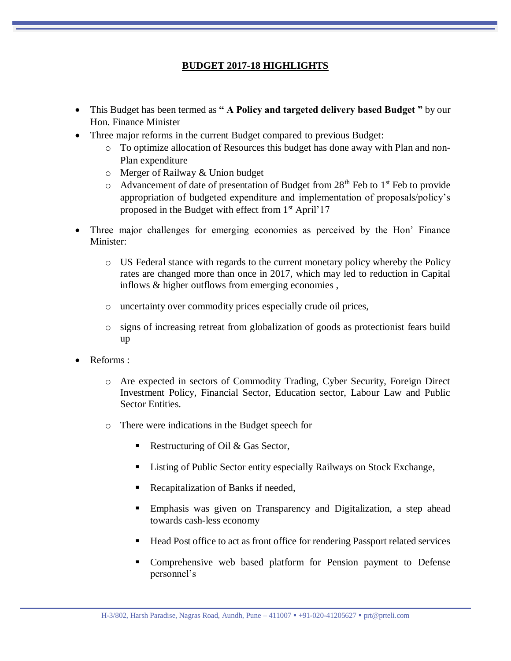## **BUDGET 2017-18 HIGHLIGHTS**

- This Budget has been termed as **" A Policy and targeted delivery based Budget "** by our Hon. Finance Minister
- Three major reforms in the current Budget compared to previous Budget:
	- o To optimize allocation of Resources this budget has done away with Plan and non-Plan expenditure
	- o Merger of Railway & Union budget
	- $\circ$  Advancement of date of presentation of Budget from 28<sup>th</sup> Feb to 1<sup>st</sup> Feb to provide appropriation of budgeted expenditure and implementation of proposals/policy's proposed in the Budget with effect from  $1<sup>st</sup>$  April'17
- Three major challenges for emerging economies as perceived by the Hon' Finance Minister:
	- o US Federal stance with regards to the current monetary policy whereby the Policy rates are changed more than once in 2017, which may led to reduction in Capital inflows & higher outflows from emerging economies ,
	- o uncertainty over commodity prices especially crude oil prices,
	- o signs of increasing retreat from globalization of goods as protectionist fears build up
- Reforms :
	- o Are expected in sectors of Commodity Trading, Cyber Security, Foreign Direct Investment Policy, Financial Sector, Education sector, Labour Law and Public Sector Entities.
	- o There were indications in the Budget speech for
		- Restructuring of Oil  $& Gas Sector$ ,
		- Listing of Public Sector entity especially Railways on Stock Exchange,
		- Recapitalization of Banks if needed,
		- Emphasis was given on Transparency and Digitalization, a step ahead towards cash-less economy
		- Head Post office to act as front office for rendering Passport related services
		- Comprehensive web based platform for Pension payment to Defense personnel's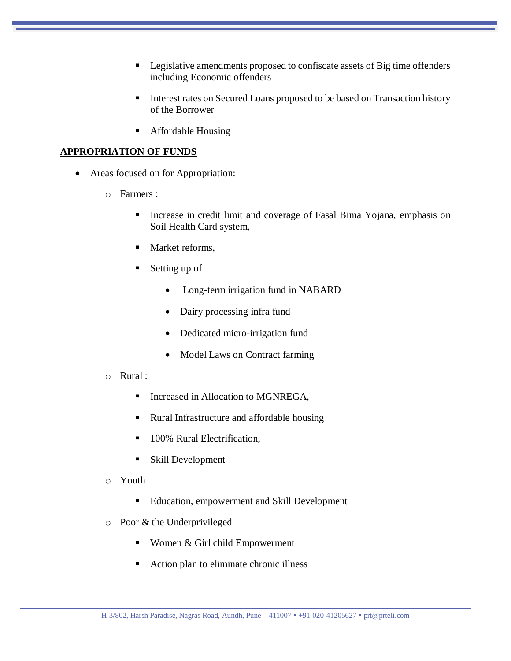- **Legislative amendments proposed to confiscate assets of Big time offenders** including Economic offenders
- Interest rates on Secured Loans proposed to be based on Transaction history of the Borrower
- Affordable Housing

## **APPROPRIATION OF FUNDS**

- Areas focused on for Appropriation:
	- o Farmers :
		- **Increase in credit limit and coverage of Fasal Bima Yojana, emphasis on** Soil Health Card system,
		- Market reforms,
		- Setting up of
			- Long-term irrigation fund in NABARD
			- Dairy processing infra fund
			- Dedicated micro-irrigation fund
			- Model Laws on Contract farming
	- o Rural :
		- **Increased in Allocation to MGNREGA,**
		- Rural Infrastructure and affordable housing
		- 100% Rural Electrification,
		- Skill Development
	- o Youth
		- Education, empowerment and Skill Development
	- o Poor & the Underprivileged
		- Women & Girl child Empowerment
		- Action plan to eliminate chronic illness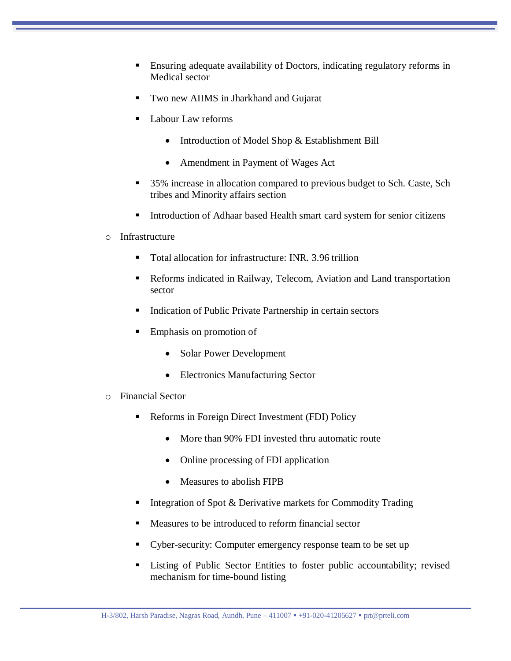- Ensuring adequate availability of Doctors, indicating regulatory reforms in Medical sector
- Two new AIIMS in Jharkhand and Gujarat
- Labour Law reforms
	- Introduction of Model Shop & Establishment Bill
	- Amendment in Payment of Wages Act
- 35% increase in allocation compared to previous budget to Sch. Caste, Sch tribes and Minority affairs section
- Introduction of Adhaar based Health smart card system for senior citizens
- o Infrastructure
	- Total allocation for infrastructure: INR. 3.96 trillion
	- Reforms indicated in Railway, Telecom, Aviation and Land transportation sector
	- Indication of Public Private Partnership in certain sectors
	- Emphasis on promotion of
		- Solar Power Development
		- Electronics Manufacturing Sector
- o Financial Sector
	- Reforms in Foreign Direct Investment (FDI) Policy
		- More than 90% FDI invested thru automatic route
		- Online processing of FDI application
		- Measures to abolish FIPB
	- Integration of Spot & Derivative markets for Commodity Trading
	- Measures to be introduced to reform financial sector
	- Cyber-security: Computer emergency response team to be set up
	- **Example 1** Listing of Public Sector Entities to foster public accountability; revised mechanism for time-bound listing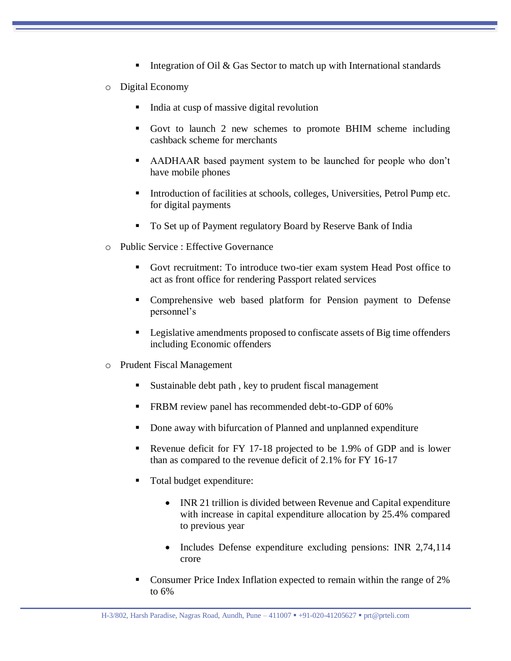- Integration of Oil & Gas Sector to match up with International standards
- o Digital Economy
	- India at cusp of massive digital revolution
	- Govt to launch 2 new schemes to promote BHIM scheme including cashback scheme for merchants
	- AADHAAR based payment system to be launched for people who don't have mobile phones
	- Introduction of facilities at schools, colleges, Universities, Petrol Pump etc. for digital payments
	- To Set up of Payment regulatory Board by Reserve Bank of India
- o Public Service : Effective Governance
	- Govt recruitment: To introduce two-tier exam system Head Post office to act as front office for rendering Passport related services
	- Comprehensive web based platform for Pension payment to Defense personnel's
	- Legislative amendments proposed to confiscate assets of Big time offenders including Economic offenders
- o Prudent Fiscal Management
	- Sustainable debt path , key to prudent fiscal management
	- FRBM review panel has recommended debt-to-GDP of 60%
	- Done away with bifurcation of Planned and unplanned expenditure
	- Revenue deficit for FY 17-18 projected to be 1.9% of GDP and is lower than as compared to the revenue deficit of 2.1% for FY 16-17
	- Total budget expenditure:
		- INR 21 trillion is divided between Revenue and Capital expenditure with increase in capital expenditure allocation by 25.4% compared to previous year
		- Includes Defense expenditure excluding pensions: INR 2,74,114 crore
	- Consumer Price Index Inflation expected to remain within the range of 2% to 6%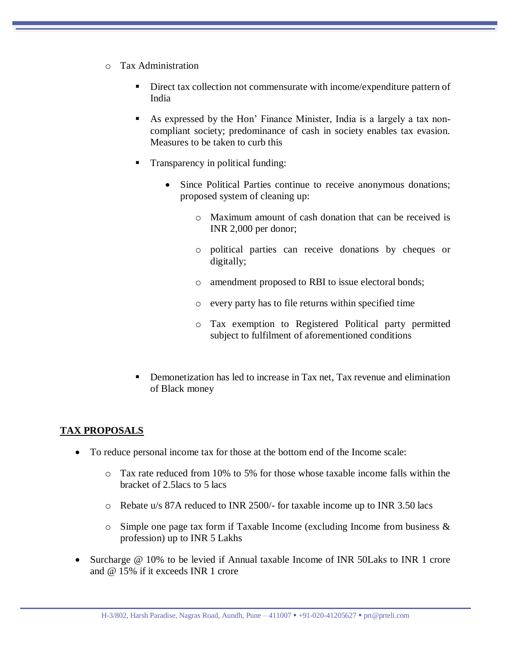- o Tax Administration
	- Direct tax collection not commensurate with income/expenditure pattern of India
	- As expressed by the Hon' Finance Minister, India is a largely a tax noncompliant society; predominance of cash in society enables tax evasion. Measures to be taken to curb this
	- Transparency in political funding:
		- Since Political Parties continue to receive anonymous donations; proposed system of cleaning up:
			- o Maximum amount of cash donation that can be received is INR 2,000 per donor;
			- o political parties can receive donations by cheques or digitally;
			- o amendment proposed to RBI to issue electoral bonds;
			- o every party has to file returns within specified time
			- o Tax exemption to Registered Political party permitted subject to fulfilment of aforementioned conditions
	- Demonetization has led to increase in Tax net, Tax revenue and elimination of Black money

## **TAX PROPOSALS**

- To reduce personal income tax for those at the bottom end of the Income scale:
	- $\circ$  Tax rate reduced from 10% to 5% for those whose taxable income falls within the bracket of 2.5lacs to 5 lacs
	- o Rebate u/s 87A reduced to INR 2500/- for taxable income up to INR 3.50 lacs
	- $\circ$  Simple one page tax form if Taxable Income (excluding Income from business & profession) up to INR 5 Lakhs
- Surcharge @ 10% to be levied if Annual taxable Income of INR 50Laks to INR 1 crore and @ 15% if it exceeds INR 1 crore